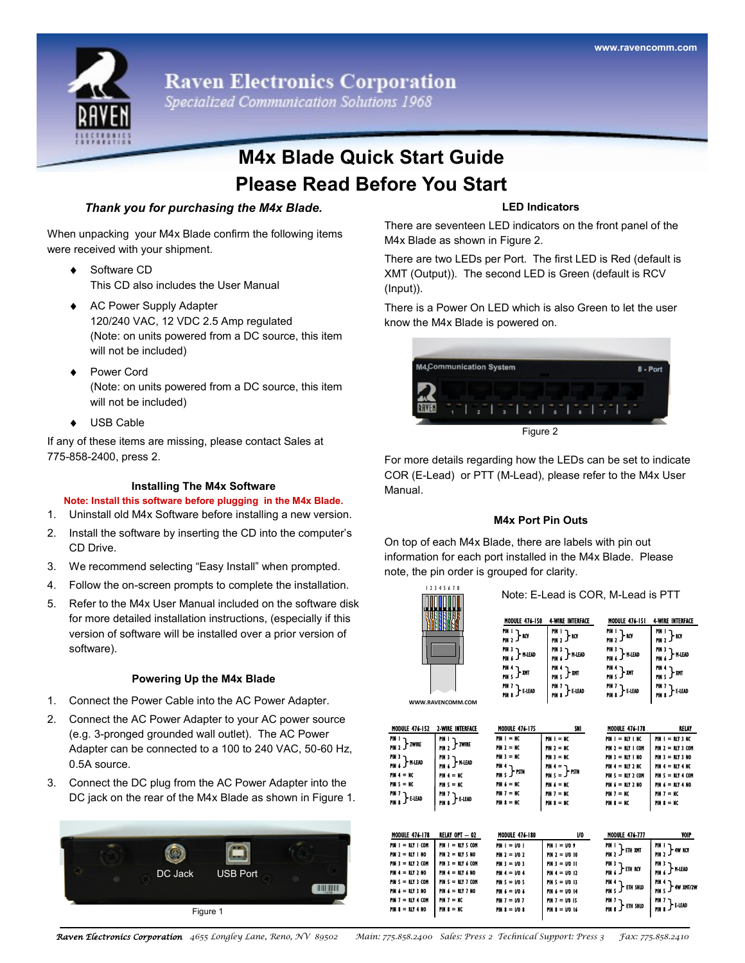

**Raven Electronics Corporation** 

Specialized Communication Solutions 1968

# **M4x Blade Quick Start Guide Please Read Before You Start**

## *Thank you for purchasing the M4x Blade.*

When unpacking your M4x Blade confirm the following items were received with your shipment.

- ◆ Software CD This CD also includes the User Manual
- AC Power Supply Adapter 120/240 VAC, 12 VDC 2.5 Amp regulated (Note: on units powered from a DC source, this item will not be included)
- Power Cord (Note: on units powered from a DC source, this item will not be included)
- ◆ USB Cable

If any of these items are missing, please contact Sales at 775-858-2400, press 2.

#### **Installing The M4x Software**

- **Note: Install this software before plugging in the M4x Blade.**
- 1. Uninstall old M4x Software before installing a new version.
- 2. Install the software by inserting the CD into the computer's CD Drive.
- 3. We recommend selecting "Easy Install" when prompted.
- 4. Follow the on-screen prompts to complete the installation.
- 5. Refer to the M4x User Manual included on the software disk for more detailed installation instructions, (especially if this version of software will be installed over a prior version of software).

## **Powering Up the M4x Blade**

- 1. Connect the Power Cable into the AC Power Adapter.
- 2. Connect the AC Power Adapter to your AC power source (e.g. 3-pronged grounded wall outlet). The AC Power Adapter can be connected to a 100 to 240 VAC, 50-60 Hz, 0.5A source.
- 3. Connect the DC plug from the AC Power Adapter into the DC jack on the rear of the M4x Blade as shown in Figure 1.



## **LED Indicators**

There are seventeen LED indicators on the front panel of the M4x Blade as shown in Figure 2.

There are two LEDs per Port. The first LED is Red (default is XMT (Output)). The second LED is Green (default is RCV (Input)).

There is a Power On LED which is also Green to let the user know the M4x Blade is powered on.



For more details regarding how the LEDs can be set to indicate COR (E-Lead) or PTT (M-Lead), please refer to the M4x User Manual.

## **M4x Port Pin Outs**

On top of each M4x Blade, there are labels with pin out information for each port installed in the M4x Blade. Please note, the pin order is grouped for clarity.

1 2 3 4 5 6 7 8

|                                                                                                      |                                                                              | Note: E-Lead is COR, M-Lead is PTT                                                        |                                                                                           |                                                                     |                                       |
|------------------------------------------------------------------------------------------------------|------------------------------------------------------------------------------|-------------------------------------------------------------------------------------------|-------------------------------------------------------------------------------------------|---------------------------------------------------------------------|---------------------------------------|
|                                                                                                      |                                                                              | <b>MODULE 476-150</b>                                                                     | <b>4-WINE INTERFACE</b>                                                                   | <b>MODULE 476-151</b>                                               | <b>4-WIRE INTERFACE</b>               |
|                                                                                                      |                                                                              | <b>PIN</b> I <sub>1</sub><br>$PIII.2$ $PIO$                                               | <b>PIN</b> ר<br>PIN 2 J ROY                                                               | <b>PIN</b> ו<br>$_{\rm PM~2}$ ) and                                 | PM I h<br>j kv<br>PIN 2               |
|                                                                                                      |                                                                              | $\begin{array}{l} \text{PIH} \ 3 \\ \text{null} \ 6 \end{array} \biggr\} \ \text{M-LEAD}$ | $\begin{array}{l} \text{PIN 3} \\ \text{} \\ \text{} \end{array} \biggr\} \text{ M-LEAD}$ | PIN 3<br><sub>Pin 6</sub> } M-lead                                  | <b>ר נוויו</b><br>$+$ M LEAD          |
|                                                                                                      |                                                                              | PIN 4 } xm                                                                                | PIN 4 } xwr<br><sub>Pin 5</sub> } xwr                                                     | PIN 4 } xMT                                                         | PIN 4 } xht<br><sub>Pin 5</sub> } xht |
|                                                                                                      |                                                                              | $\frac{PHI}{PHI}$ $\rightarrow$ E-LEAD                                                    | $\frac{PHN}{PHN}$ & $\frac{7}{8}$ & LEAD                                                  | $\frac{PIN}{PIN}$ $\frac{7}{8}$ $\frac{1}{2}$ e-lead                | $\frac{PM}{PM}$ } E LEAD              |
| WWW.RAVENCOMM.COM                                                                                    |                                                                              |                                                                                           |                                                                                           |                                                                     |                                       |
| MODULE 476-152                                                                                       | <b>2-WIRE INTERFACE</b>                                                      | <b>MODULE 476-175</b>                                                                     | SNI                                                                                       | <b>MODULE 476-178</b>                                               | <b>RELAY</b>                          |
| $\begin{array}{c} \mathsf{PIN} \ \mathsf{I} \ \mathsf{PIN} \ \mathsf{2} \end{array} \bigg\}$ 2WIRE   | PIN I ]<br>Pin 2 ] 2Wire                                                     | $PMI = MC$                                                                                | $PIII I = IIC$                                                                            | PIN I = RLY I NC                                                    | $PM I = MY 3 MC$                      |
|                                                                                                      |                                                                              | PIN 2 = NC                                                                                | $PM2 = MC$                                                                                | PIN 2 = RLY 1 COM                                                   | PIN 2 = ILY 3 COM                     |
| PIN 3<br>PIN 6 P M-LEAD                                                                              | $\begin{smallmatrix} \text{PIN} & 3 \\ & \ddots & \end{smallmatrix}$ in Lead | $PM = MC$                                                                                 | $PM 3 = MC$                                                                               | PIN 3 = RLY 1 NO                                                    | PIN 3 = NLY 3 NO                      |
|                                                                                                      |                                                                              | PM 4 <sub>1</sub>                                                                         | $PM = 1$                                                                                  | PIN 4 = RLY 2 NC                                                    | PIN 4 = RLY 4 NC                      |
| PIN 4 = NC                                                                                           | PIN 4 = NC                                                                   | $PINS$ $\bigcup$ $PSTN$                                                                   | $PINS = \int PSTN$                                                                        | PIN 5 = RLY 2 COM                                                   | PIN 5 = 1LY 4 COM                     |
| $PIN S = NC$                                                                                         | $PIN S = NC$                                                                 | PIN 6 = NC                                                                                | $PIN 6 = NC$                                                                              | PIN 6 = RLY 2 NO                                                    | PIN 6 = RLY 4 NO                      |
| $\begin{array}{c} \mathsf{PIN} & \mathsf{7} \\ \mathsf{PIN} & \mathsf{8} \end{array} \bigg\}$ e-lead | PIN 7 } E-LEAD<br>PIN 8 }                                                    | PIN 7 = NC                                                                                | $PIII.7 = IIC$                                                                            | $PIII.7 = IIC$                                                      | $PIII = IIC$                          |
|                                                                                                      |                                                                              | PIN 8 = NC                                                                                | $PIN = NC$                                                                                | PIN 8 = NC                                                          | $PIII.8 = IIC$                        |
|                                                                                                      |                                                                              |                                                                                           |                                                                                           |                                                                     |                                       |
| <b>MODULE 476-178</b>                                                                                | RELAY OPT - 02                                                               | <b>MODULE 476-180</b>                                                                     | VO.                                                                                       | <b>MODULE 476-777</b>                                               | VOIP                                  |
| PIN 1 = N.Y I COM                                                                                    | <b>PIN 1 = NLY 5 COM</b>                                                     | $PM I = V0 I$                                                                             | $PIII I = V0.9$                                                                           | <b>PIN</b> ר                                                        |                                       |
| $PM 2 = NY 1 10$                                                                                     | $PM2 = UY500$                                                                | $PM 2 = V0 2$                                                                             | $PIII 2 = V0 10$                                                                          | $PIN2$ FTH XMT                                                      |                                       |
| PIN 3 = NLY 2 COM                                                                                    | PIN 3 = NLY 6 COM                                                            | $PM 3 = V0 3$                                                                             | $PM 3 = V0 11$                                                                            |                                                                     |                                       |
| PIN 4 = NLY 2 NO                                                                                     | PIN 4 = NLY 6 NO                                                             | $PM 4 = V0 4$                                                                             | $PM 4 = V0 12$                                                                            | PIN 3 } ETH ACY<br>PIN 6 }                                          | PIN 3<br><sub>Pin 6</sub> } H-lead    |
| PIN 5 = N.Y 3 COM                                                                                    | PIN 5 = NLY 7 COM                                                            | <b>PIN 5 = 1/0 5</b>                                                                      | PIN 5 = 1/0 13                                                                            |                                                                     |                                       |
| PIN 6 = RLY 3 MO                                                                                     | PIN 6 = RLY 7 NO                                                             | PIN 6 = 1/0 6                                                                             | PIN 6 = 1/0 14                                                                            | $\begin{smallmatrix} 111 & 4 \\ 211 & 5 \end{smallmatrix}$ eth shid | $\vdash$ 4W XMT/2W                    |
| PIN 7 = N.Y 4 COM                                                                                    | PIN 7 = NC                                                                   | PIN 7 = 1/0 7                                                                             | PIN 7 = 1/0 15                                                                            | $\frac{P}{P}$ and $\frac{7}{8}$ $\frac{1}{2}$ eth shide             | PIN 7 } E-LEAD<br>PIN 8 }             |
| PIN 8 = N.Y 4 NO                                                                                     | PIN 8 = NC                                                                   | PIN 8 = 1/0 8                                                                             | PIN 8 = 1/0 16                                                                            |                                                                     |                                       |

*Raven Electronics Corporation 4655 Longley Lane, Reno, NV 89502 Main: 775.858.2400 Sales: Press 2 Technical Support: Press 3 Fax: 775.858.2410*